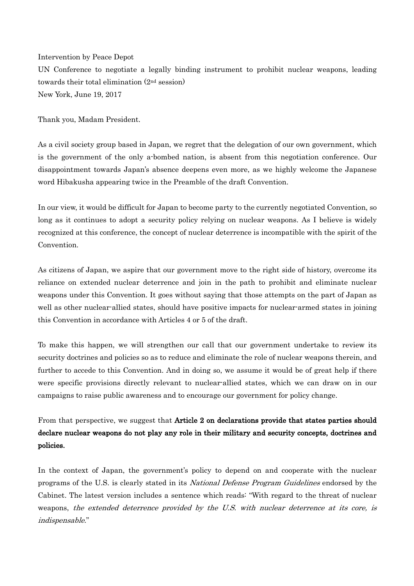## Intervention by Peace Depot

UN Conference to negotiate a legally binding instrument to prohibit nuclear weapons, leading towards their total elimination (2nd session) New York, June 19, 2017

Thank you, Madam President.

As a civil society group based in Japan, we regret that the delegation of our own government, which is the government of the only a-bombed nation, is absent from this negotiation conference. Our disappointment towards Japan's absence deepens even more, as we highly welcome the Japanese word Hibakusha appearing twice in the Preamble of the draft Convention.

In our view, it would be difficult for Japan to become party to the currently negotiated Convention, so long as it continues to adopt a security policy relying on nuclear weapons. As I believe is widely recognized at this conference, the concept of nuclear deterrence is incompatible with the spirit of the **Convention** 

As citizens of Japan, we aspire that our government move to the right side of history, overcome its reliance on extended nuclear deterrence and join in the path to prohibit and eliminate nuclear weapons under this Convention. It goes without saying that those attempts on the part of Japan as well as other nuclear-allied states, should have positive impacts for nuclear-armed states in joining this Convention in accordance with Articles 4 or 5 of the draft.

To make this happen, we will strengthen our call that our government undertake to review its security doctrines and policies so as to reduce and eliminate the role of nuclear weapons therein, and further to accede to this Convention. And in doing so, we assume it would be of great help if there were specific provisions directly relevant to nuclear-allied states, which we can draw on in our campaigns to raise public awareness and to encourage our government for policy change.

From that perspective, we suggest that Article 2 on declarations provide that states parties should declare nuclear weapons do not play any role in their military and security concepts, doctrines and policies.

In the context of Japan, the government's policy to depend on and cooperate with the nuclear programs of the U.S. is clearly stated in its National Defense Program Guidelines endorsed by the Cabinet. The latest version includes a sentence which reads: "With regard to the threat of nuclear weapons, the extended deterrence provided by the U.S. with nuclear deterrence at its core, is indispensable."